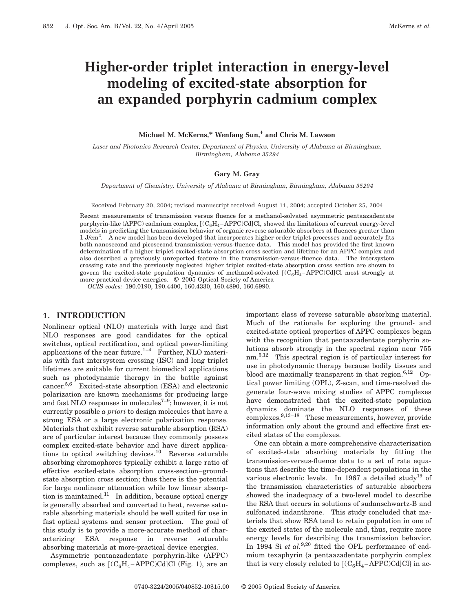# **Higher-order triplet interaction in energy-level modeling of excited-state absorption for an expanded porphyrin cadmium complex**

**Michael M. McKerns,\* Wenfang Sun,† and Chris M. Lawson**

*Laser and Photonics Research Center, Department of Physics, University of Alabama at Birmingham, Birmingham, Alabama 35294*

## **Gary M. Gray**

*Department of Chemistry, University of Alabama at Birmingham, Birmingham, Alabama 35294*

Received February 20, 2004; revised manuscript received August 11, 2004; accepted October 25, 2004

Recent measurements of transmission versus fluence for a methanol-solvated asymmetric pentaazadentate porphyrin-like (APPC) cadmium complex,  $[(C_6H_4 - APPC)Cd]Cl$ , showed the limitations of current energy-level models in predicting the transmission behavior of organic reverse saturable absorbers at fluences greater than 1 J/cm<sup>2</sup>. A new model has been developed that incorporates higher-order triplet processes and accurately fits both nanosecond and picosecond transmission-versus-fluence data. This model has provided the first known determination of a higher triplet excited-state absorption cross section and lifetime for an APPC complex and also described a previously unreported feature in the transmission-versus-fluence data. The intersystem crossing rate and the previously neglected higher triplet excited-state absorption cross section are shown to govern the excited-state population dynamics of methanol-solvated  $[(C_6H_4 - APPC)Cd]Cl$  most strongly at more-practical device energies. © 2005 Optical Society of America

*OCIS codes:* 190.0190, 190.4400, 160.4330, 160.4890, 160.6990.

#### **1. INTRODUCTION**

Nonlinear optical (NLO) materials with large and fast NLO responses are good candidates for the optical switches, optical rectification, and optical power-limiting applications of the near future. $1-4$  Further, NLO materials with fast intersystem crossing (ISC) and long triplet lifetimes are suitable for current biomedical applications such as photodynamic therapy in the battle against cancer.5,6 Excited-state absorption (ESA) and electronic polarization are known mechanisms for producing large and fast NLO responses in molecules<sup>7-9</sup>; however, it is not currently possible *a priori* to design molecules that have a strong ESA or a large electronic polarization response. Materials that exhibit reverse saturable absorption (RSA) are of particular interest because they commonly possess complex excited-state behavior and have direct applications to optical switching devices.10 Reverse saturable absorbing chromophores typically exhibit a large ratio of effective excited-state absorption cross-section–groundstate absorption cross section; thus there is the potential for large nonlinear attenuation while low linear absorption is maintained.<sup>11</sup> In addition, because optical energy is generally absorbed and converted to heat, reverse saturable absorbing materials should be well suited for use in fast optical systems and sensor protection. The goal of this study is to provide a more-accurate method of characterizing ESA response in reverse saturable absorbing materials at more-practical device energies.

Asymmetric pentaazadentate porphyrin-like (APPC) complexes, such as  $[(C_6H_4 - APPC)Cd]Cl$  (Fig. 1), are an important class of reverse saturable absorbing material. Much of the rationale for exploring the ground- and excited-state optical properties of APPC complexes began with the recognition that pentaazadentate porphyrin solutions absorb strongly in the spectral region near 755 nm.<sup>5,12</sup> This spectral region is of particular interest for use in photodynamic therapy because bodily tissues and blood are maximally transparent in that region. $6,12$  Optical power limiting (OPL), *Z*-scan, and time-resolved degenerate four-wave mixing studies of APPC complexes have demonstrated that the excited-state population dynamics dominate the NLO responses of these complexes.9,13–<sup>18</sup> These measurements, however, provide information only about the ground and effective first excited states of the complexes.

One can obtain a more comprehensive characterization of excited-state absorbing materials by fitting the transmission-versus-fluence data to a set of rate equations that describe the time-dependent populations in the various electronic levels. In 1967 a detailed study<sup>19</sup> of the transmission characteristics of saturable absorbers showed the inadequacy of a two-level model to describe the RSA that occurs in solutions of sudanschwartz-B and sulfonated indanthrone. This study concluded that materials that show RSA tend to retain population in one of the excited states of the molecule and, thus, require more energy levels for describing the transmission behavior. In 1994 Si *et al.*<sup>9,20</sup> fitted the OPL performance of cadmium texaphyrin {a pentaazadentate porphyrin complex that is very closely related to  $[(C_6H_4 - APPC)Cd]Cl$  in ac-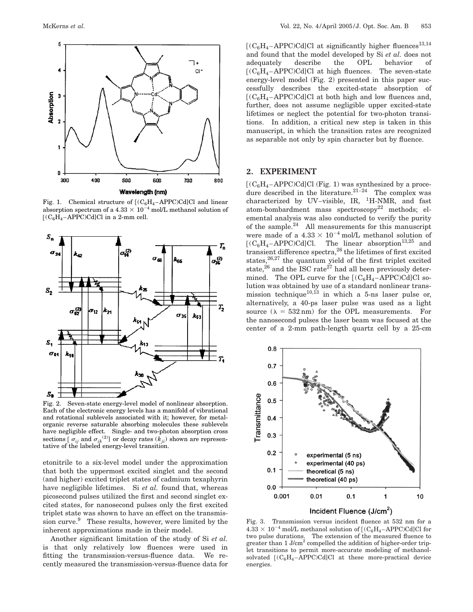

Fig. 1. Chemical structure of  $[(C_6H_4 - APPC)Cd]Cl$  and linear absorption spectrum of a 4.33  $\times$  10<sup>-4</sup> mol/L methanol solution of  $[(C_6H_4 - APPC)Cd]Cl$  in a 2-mm cell.



Fig. 2. Seven-state energy-level model of nonlinear absorption. Each of the electronic energy levels has a manifold of vibrational and rotational sublevels associated with it; however, for metalorganic reverse saturable absorbing molecules these sublevels have negligible effect. Single- and two-photon absorption cross sections  $\left[\sigma_{ii}\right]$  and  $\sigma_{ik}^{(2)}$  or decay rates  $(k_{ii})$  shown are representative of the labeled energy-level transition.

etonitrile to a six-level model under the approximation that both the uppermost excited singlet and the second (and higher) excited triplet states of cadmium texaphyrin have negligible lifetimes. Si *et al.* found that, whereas picosecond pulses utilized the first and second singlet excited states, for nanosecond pulses only the first excited triplet state was shown to have an effect on the transmission curve.<sup>9</sup> These results, however, were limited by the inherent approximations made in their model.

Another significant limitation of the study of Si *et al.* is that only relatively low fluences were used in fitting the transmission-versus-fluence data. We recently measured the transmission-versus-fluence data for  $[(C_6H_4 - APPC)Cd]Cl$  at significantly higher fluences<sup>13,14</sup> and found that the model developed by Si *et al.* does not adequately describe the OPL behavior of  $[(C_6H_4 - APPC)Cd]Cl$  at high fluences. The seven-state energy-level model (Fig. 2) presented in this paper successfully describes the excited-state absorption of  $[(C_6H_4 - APPC)Cd]Cl$  at both high and low fluences and, further, does not assume negligible upper excited-state lifetimes or neglect the potential for two-photon transitions. In addition, a critical new step is taken in this manuscript, in which the transition rates are recognized as separable not only by spin character but by fluence.

# **2. EXPERIMENT**

 $[(C_6H_4 - APPC)Cd]Cl$  (Fig. 1) was synthesized by a procedure described in the literature. $21-24$  The complex was characterized by UV–visible, IR,  $^1$ H-NMR, and fast atom-bombardment mass spectroscopy<sup>22</sup> methods; elemental analysis was also conducted to verify the purity of the sample.24 All measurements for this manuscript were made of a  $4.33 \times 10^{-4}$  mol/L methanol solution of  $[(C_6H_4 - APPC)Cd]Cl$ . The linear absorption<sup>13,25</sup> and transient difference spectra,26 the lifetimes of first excited states,<sup>26,27</sup> the quantum yield of the first triplet excited state,<sup>26</sup> and the ISC rate<sup>27</sup> had all been previously determined. The OPL curve for the  $[(C_6H_4 - APPC)Cd]Cl$  solution was obtained by use of a standard nonlinear transmission technique<sup>10,13</sup> in which a 5-ns laser pulse or, alternatively, a 40-ps laser pulse was used as a light source  $(\lambda = 532 \text{ nm})$  for the OPL measurements. For the nanosecond pulses the laser beam was focused at the center of a 2-mm path-length quartz cell by a 25-cm



Fig. 3. Transmission versus incident fluence at 532 nm for a  $4.33\times 10^{-4}$  mol/L methanol solution of  $[(\rm{C_6H_4-APPC})Cd]Cl$  for two pulse durations. The extension of the measured fluence to greater than 1 J/cm2 compelled the addition of higher-order triplet transitions to permit more-accurate modeling of methanolsolvated  $[(C_6H_4 - APPC)Cd]Cl$  at these more-practical device energies.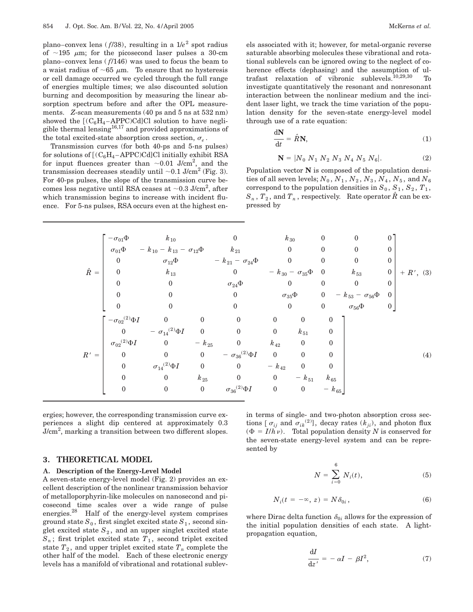plano–convex lens ( $f/38$ ), resulting in a  $1/e^2$  spot radius of  $\sim$ 195  $\mu$ m; for the picosecond laser pulses a 30-cm plano–convex lens ( *f*/146) was used to focus the beam to a waist radius of  $\sim 65 \mu \text{m}$ . To ensure that no hysteresis or cell damage occurred we cycled through the full range of energies multiple times; we also discounted solution burning and decomposition by measuring the linear absorption spectrum before and after the OPL measurements. Z-scan measurements (40 ps and 5 ns at 532 nm) showed the  $[(C_6H_4 - APPC)Cd]Cl$  solution to have negligible thermal lensing<sup>16,17</sup> and provided approximations of the total excited-state absorption cross section,  $\sigma_e$ .

Transmission curves (for both 40-ps and 5-ns pulses) for solutions of  $[(C_6H_4 - APPC)Cd]Cl$  initially exhibit RSA for input fluences greater than  $\sim 0.01$  J/cm<sup>2</sup>, and the transmission decreases steadily until  $\sim 0.1$  J/cm<sup>2</sup> (Fig. 3). For 40-ps pulses, the slope of the transmission curve becomes less negative until RSA ceases at  ${\sim}0.3$  J/cm<sup>2</sup>, after which transmission begins to increase with incident fluence. For 5-ns pulses, RSA occurs even at the highest enels associated with it; however, for metal-organic reverse saturable absorbing molecules these vibrational and rotational sublevels can be ignored owing to the neglect of coherence effects (dephasing) and the assumption of ultrafast relaxation of vibronic sublevels.10,29,30 To investigate quantitatively the resonant and nonresonant interaction between the nonlinear medium and the incident laser light, we track the time variation of the population density for the seven-state energy-level model through use of a rate equation:

$$
\frac{\mathrm{d}N}{\mathrm{d}t} = \hat{R}N,\tag{1}
$$

$$
\mathbf{N} = |N_0 \ N_1 \ N_2 \ N_3 \ N_4 \ N_5 \ N_6|.
$$
 (2)

Population vector **N** is composed of the population densities of all seven levels;  $N_0$ ,  $N_1$ ,  $N_2$ ,  $N_3$ ,  $N_4$ ,  $N_5$ , and  $N_6$ correspond to the population densities in  $S_0$ ,  $S_1$ ,  $S_2$ ,  $T_1$ ,  $S_n$ ,  $T_2$ , and  $T_n$ , respectively. Rate operator  $\hat{R}$  can be expressed by

|             | $-\sigma_{01}\Phi$                            | $k_{10}$                                                    |                         |                               | $k_{\,30}$       |                                 | 0                | $\theta$                            | 0                |             |
|-------------|-----------------------------------------------|-------------------------------------------------------------|-------------------------|-------------------------------|------------------|---------------------------------|------------------|-------------------------------------|------------------|-------------|
|             |                                               | $\sigma_{01}\Phi$ - $k_{10}$ - $k_{13}$ - $\sigma_{12}\Phi$ |                         | $k_{21}$                      | $\mathbf{0}$     |                                 | 0                | 0                                   | $\theta$         |             |
|             | $\boldsymbol{0}$                              | $\sigma_{12} \Phi$                                          |                         | $- k_{21} - \sigma_{24} \Phi$ | $\boldsymbol{0}$ |                                 | 0                | $\mathbf{0}$                        | $\boldsymbol{0}$ |             |
| $\hat{R} =$ | $\mathbf{0}$                                  | $k_{13}$                                                    |                         | $\overline{0}$                |                  | $- k_{30} - \sigma_{35} \Phi 0$ |                  | $k_{53}$                            | $\boldsymbol{0}$ | $+ R', (3)$ |
|             | $\mathbf{0}$                                  | $\boldsymbol{0}$                                            |                         | $\sigma_{24}\Phi$             | $\mathbf{0}$     |                                 | $\mathbf{0}$     | $\boldsymbol{0}$                    | $\boldsymbol{0}$ |             |
|             | $\Omega$                                      | $\theta$                                                    |                         | $\overline{0}$                |                  | $\sigma_{35}\Phi$               |                  | 0 - $k_{53}$ - $\sigma_{56}$ $\Phi$ | $\mathbf{0}$     |             |
|             | $\mathbf{0}$                                  | $\overline{0}$                                              |                         | $\theta$                      | $\boldsymbol{0}$ |                                 | $\boldsymbol{0}$ | $\sigma_{56}\Phi$                   | $\overline{0}$   |             |
|             | $-\sigma_{02}^{\phantom{\dag}}{}^{(2)}\Phi I$ | $\overline{\mathbf{0}}$                                     | $\boldsymbol{0}$        | $\theta$                      | $\boldsymbol{0}$ | $\boldsymbol{0}$                | $\mathbf{0}$     |                                     |                  |             |
|             | $\overline{0}$                                | $\label{eq:2.14} ~-\ \sigma_{14}{}^{(2)} \Phi I ~~~0$       |                         | $\mathbf{0}$                  | $\boldsymbol{0}$ | $k_{51}$                        | $\theta$         |                                     |                  |             |
|             | ${\sigma_{02}}^{(2)}\Phi I$                   | $\overline{\mathbf{0}}$                                     | $ k_{25}$               | $\boldsymbol{0}$              | $k_{42}$         | $\mathbf{0}$                    | $\theta$         |                                     |                  |             |
| $R' =$      | $\boldsymbol{0}$                              | $\overline{0}$                                              | $\overline{0}$          | - $\sigma_{36}^{(2)}\Phi I$   | $\overline{0}$   | $\mathbf{0}$                    | 0                |                                     |                  | (4)         |
|             | $\theta$                                      | $\sigma_{14}{}^{(2)}\Phi I$                                 | $\overline{\mathbf{0}}$ | $\overline{0}$                | $ k_{42}$        | $\mathbf{0}$                    | $\mathbf{0}$     |                                     |                  |             |
|             | $\mathbf{0}$                                  | $\mathbf{0}$                                                | $k_{25}$                | $\overline{0}$                | $\overline{0}$   | $- k_{51}$                      | $k_{65}$         |                                     |                  |             |
|             | $\boldsymbol{0}$                              | $\boldsymbol{0}$                                            | $\boldsymbol{0}$        | $\sigma_{36}{}^{(2)}\Phi I$   | $\boldsymbol{0}$ | $\boldsymbol{0}$                | $- k_{65}$       |                                     |                  |             |
|             |                                               |                                                             |                         |                               |                  |                                 |                  |                                     |                  |             |

ergies; however, the corresponding transmission curve experiences a slight dip centered at approximately 0.3  $J/cm<sup>2</sup>$ , marking a transition between two different slopes.

#### **3. THEORETICAL MODEL**

#### **A. Description of the Energy-Level Model**

A seven-state energy-level model (Fig. 2) provides an excellent description of the nonlinear transmission behavior of metalloporphyrin-like molecules on nanosecond and picosecond time scales over a wide range of pulse energies.28 Half of the energy-level system comprises ground state  $S_0$ , first singlet excited state  $S_1$ , second singlet excited state  $S_2$ , and an upper singlet excited state  $S_n$ ; first triplet excited state  $T_1$ , second triplet excited state  $T_2$ , and upper triplet excited state  $T_n$  complete the other half of the model. Each of these electronic energy levels has a manifold of vibrational and rotational sublevin terms of single- and two-photon absorption cross sections  $[\sigma_{ij}$  and  $\sigma_{ik}^{(2)}]$ , decay rates  $(k_{ji})$ , and photon flux  $(\Phi = I/h \nu)$ . Total population density *N* is conserved for the seven-state energy-level system and can be represented by

$$
N = \sum_{i=0}^{6} N_i(t),
$$
 (5)

$$
N_i(t = -\infty, z) = N\delta_{0i}, \qquad (6)
$$

where Dirac delta function  $\delta_{0i}$  allows for the expression of the initial population densities of each state. A lightpropagation equation,

$$
\frac{\mathrm{d}I}{\mathrm{d}z'} = -\alpha I - \beta I^2,\tag{7}
$$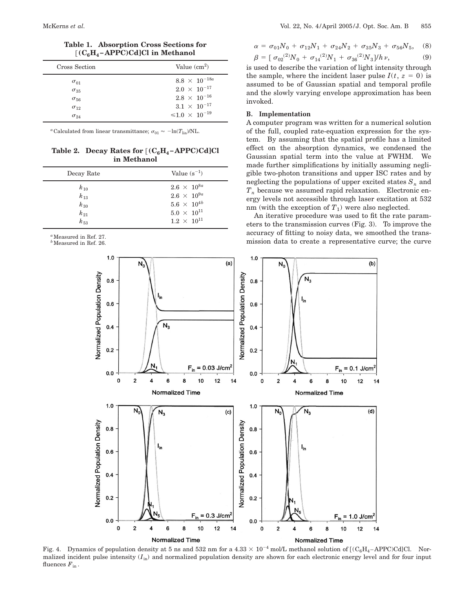| Cross Section | Value $(cm2)$              |  |  |  |  |  |
|---------------|----------------------------|--|--|--|--|--|
| $\sigma_{01}$ | $8.8 \times 10^{-18a}$     |  |  |  |  |  |
| $\sigma_{35}$ | $2.0\ \times\ 10^{-17}$    |  |  |  |  |  |
| $\sigma_{56}$ | $2.8 \times 10^{-16}$      |  |  |  |  |  |
| $\sigma_{12}$ | $3.1 \times 10^{-17}$      |  |  |  |  |  |
| $\sigma_{24}$ | $\leq 1.0 \times 10^{-19}$ |  |  |  |  |  |

**Table 1. Absorption Cross Sections for** @**(C6H4 –APPC)Cd]Cl in Methanol**

<sup>*a*</sup>Calculated from linear transmittance;  $\sigma_{01} \approx -\ln(T_{lin})/NL$ .

**Table 2. Decay Rates for**  $[(C_6H_4 - APPC)Cd]Cl$ **in Methanol**

| Decay Rate | Value $(s^{-1})$     |
|------------|----------------------|
| $k_{10}$   | $2.6 \times 10^{8a}$ |
| $k_{13}$   | $2.6 \times 10^{9a}$ |
| $k_{30}$   | $5.6 \times 10^{4b}$ |
| $k_{21}$   | $5.0 \times 10^{11}$ |
| $k_{53}$   | $1.2 \times 10^{11}$ |

<sup>a</sup>Measured in Ref. 27.

*b*Measured in Ref. 26.

$$
\alpha = \sigma_{01} N_0 + \sigma_{12} N_1 + \sigma_{24} N_2 + \sigma_{35} N_3 + \sigma_{56} N_5, \quad (8)
$$

$$
\beta = [\sigma_{02}^{(2)}N_0 + \sigma_{14}^{(2)}N_1 + \sigma_{36}^{(2)}N_3]/h\nu, \tag{9}
$$

is used to describe the variation of light intensity through the sample, where the incident laser pulse  $I(t, z = 0)$  is assumed to be of Gaussian spatial and temporal profile and the slowly varying envelope approximation has been invoked.

# **B. Implementation**

A computer program was written for a numerical solution of the full, coupled rate-equation expression for the system. By assuming that the spatial profile has a limited effect on the absorption dynamics, we condensed the Gaussian spatial term into the value at FWHM. We made further simplifications by initially assuming negligible two-photon transitions and upper ISC rates and by neglecting the populations of upper excited states  $S_n$  and  $\boldsymbol{T}_n$  because we assumed rapid relaxation. Electronic energy levels not accessible through laser excitation at 532 nm (with the exception of  $T_1$ ) were also neglected.

An iterative procedure was used to fit the rate parameters to the transmission curves (Fig. 3). To improve the accuracy of fitting to noisy data, we smoothed the transmission data to create a representative curve; the curve



Fig. 4. Dynamics of population density at 5 ns and 532 nm for a  $4.33 \times 10^{-4}$  mol/L methanol solution of  $[(C_6H_4 - APPC)Cd]Cl$ . Normalized incident pulse intensity  $(I_{in})$  and normalized population density are shown for each electronic energy level and for four input fluences  $F_{\text{in}}$ .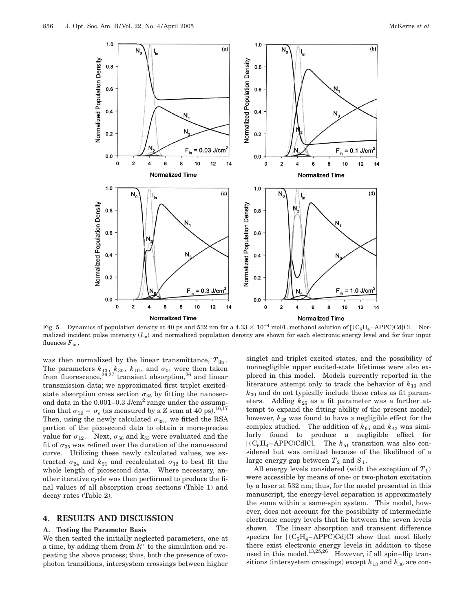

Fig. 5. Dynamics of population density at 40 ps and 532 nm for a  $4.33 \times 10^{-4}$  mol/L methanol solution of  $[(C_6H_4 - APPCCd]C]$ . Normalized incident pulse intensity  $(I_{in})$  and normalized population density are shown for each electronic energy level and for four input fluences  $F_{\text{in}}$ .

was then normalized by the linear transmittance,  $T_{lin}$ . The parameters  $k_{13}$ ,  $k_{30}$ ,  $k_{10}$ , and  $\sigma_{01}$  were then taken from fluorescence,  $26,27$  transient absorption,  $26$  and linear transmission data; we approximated first triplet excitedstate absorption cross section  $\sigma_{35}$  by fitting the nanosecond data in the  $0.001-0.3$  J/cm<sup>2</sup> range under the assumption that  $\sigma_{12} = \sigma_e$  (as measured by a *Z* scan at 40 ps).<sup>16,17</sup> Then, using the newly calculated  $\sigma_{35}$ , we fitted the RSA portion of the picosecond data to obtain a more-precise value for  $\sigma_{12}$ . Next,  $\sigma_{56}$  and k<sub>53</sub> were evaluated and the fit of  $\sigma_{35}$  was refined over the duration of the nanosecond curve. Utilizing these newly calculated values, we extracted  $\sigma_{24}$  and  $k_{21}$  and recalculated  $\sigma_{12}$  to best fit the whole length of picosecond data. Where necessary, another iterative cycle was then performed to produce the final values of all absorption cross sections (Table 1) and decay rates (Table 2).

#### **4. RESULTS AND DISCUSSION**

#### **A. Testing the Parameter Basis**

We then tested the initially neglected parameters, one at a time, by adding them from  $R'$  to the simulation and repeating the above process; thus, both the presence of twophoton transitions, intersystem crossings between higher

singlet and triplet excited states, and the possibility of nonnegligible upper excited-state lifetimes were also explored in this model. Models currently reported in the literature attempt only to track the behavior of  $k_{13}$  and *k*<sup>30</sup> and do not typically include these rates as fit parameters. Adding  $k_{25}$  as a fit parameter was a further attempt to expand the fitting ability of the present model; however,  $k_{25}$  was found to have a negligible effect for the complex studied. The addition of  $k_{65}$  and  $k_{42}$  was similarly found to produce a negligible effect for  $[(C_6H_4 - APPC)Cd]Cl.$  The  $k_{51}$  transition was also considered but was omitted because of the likelihood of a large energy gap between  $T_2$  and  $S_1$ .

All energy levels considered (with the exception of  $T_1$ ) were accessible by means of one- or two-photon excitation by a laser at 532 nm; thus, for the model presented in this manuscript, the energy-level separation is approximately the same within a same-spin system. This model, however, does not account for the possibility of intermediate electronic energy levels that lie between the seven levels shown. The linear absorption and transient difference spectra for  $[(C_6H_4 - APPC)Cd]Cl$  show that most likely there exist electronic energy levels in addition to those used in this model.<sup>13,25,26</sup> However, if all spin-flip transitions (intersystem crossings) except  $k_{13}$  and  $k_{30}$  are con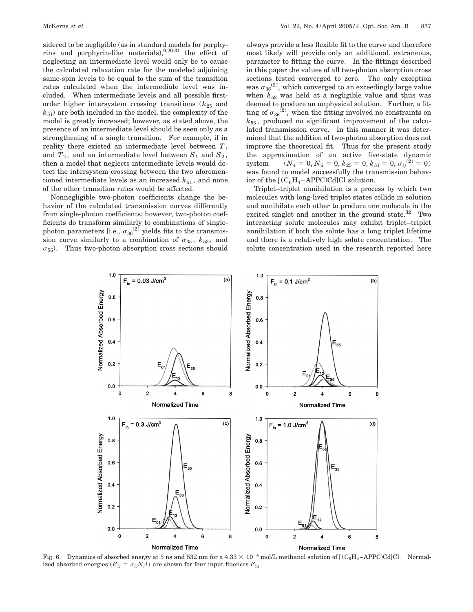sidered to be negligible (as in standard models for porphyrins and porphyrin-like materials),  $9,20,31$  the effect of neglecting an intermediate level would only be to cause the calculated relaxation rate for the modeled adjoining same-spin levels to be equal to the sum of the transition rates calculated when the intermediate level was included. When intermediate levels and all possible firstorder higher intersystem crossing transitions  $(k_{25}$  and  $k_{51}$ ) are both included in the model, the complexity of the model is greatly increased; however, as stated above, the presence of an intermediate level should be seen only as a strengthening of a single transition. For example, if in reality there existed an intermediate level between  $T_1$ and  $T_2$ , and an intermediate level between  $S_1$  and  $S_2$ , then a model that neglects intermediate levels would detect the intersystem crossing between the two aforementioned intermediate levels as an increased  $k_{51}$ , and none of the other transition rates would be affected.

Nonnegligible two-photon coefficients change the behavior of the calculated transmission curves differently from single-photon coefficients; however, two-photon coefficients do transform similarly to combinations of singlephoton parameters [i.e.,  $\sigma_{36}^{(2)}$  yields fits to the transmission curve similarly to a combination of  $\sigma_{35}$ ,  $k_{53}$ , and  $\sigma_{56}$ ). Thus two-photon absorption cross sections should always provide a less flexible fit to the curve and therefore most likely will provide only an additional, extraneous, parameter to fitting the curve. In the fittings described in this paper the values of all two-photon absorption cross sections tested converged to zero. The only exception was  $\sigma_{36}^{(2)}$ , which converged to an exceedingly large value when  $k_{53}$  was held at a negligible value and thus was deemed to produce an unphysical solution. Further, a fitting of  $\sigma_{36}^{(2)}$ , when the fitting involved no constraints on  $k_{53}$ , produced no significant improvement of the calculated transmission curve. In this manner it was determined that the addition of two-photon absorption does not improve the theoretical fit. Thus for the present study the approximation of an active five-state dynamic system  $(N_4 = 0, N_6 = 0, k_{25} = 0, k_{51} = 0, \sigma_{ij}^{(2)} = 0)$ was found to model successfully the transmission behavior of the  $[(C_6H_4 - APPC)Cd]Cl$  solution.

Triplet–triplet annihilation is a process by which two molecules with long-lived triplet states collide in solution and annihilate each other to produce one molecule in the excited singlet and another in the ground state. $32$  Two interacting solute molecules may exhibit triplet–triplet annihilation if both the solute has a long triplet lifetime and there is a relatively high solute concentration. The solute concentration used in the research reported here



Fig. 6. Dynamics of absorbed energy at 5 ns and 532 nm for a  $4.33 \times 10^{-4}$  mol/L methanol solution of  $[(C_6H_4-APPC)Cd]Cl$ . Normalized absorbed energies  $(E_{ij} = \sigma_{ij} N_i I)$  are shown for four input fluences  $F_{in}$ .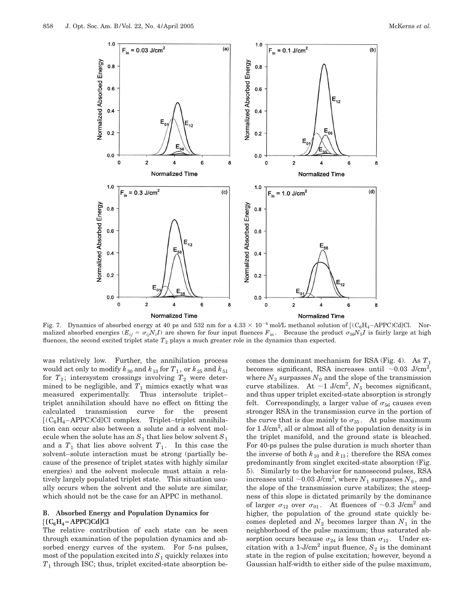

Fig. 7. Dynamics of absorbed energy at 40 ps and 532 nm for a  $4.33 \times 10^{-4}$  mol/L methanol solution of  $[(C_6H_4 - APPC)Cd]Cl$ . Normalized absorbed energies ( $E_{ij} = \sigma_{ij} N_i I$ ) are shown for four input fluences  $F_{in}$ . Because the product  $\sigma_{56} N_5 I$  is fairly large at high fluences, the second excited triplet state *T*<sup>2</sup> plays a much greater role in the dynamics than expected.

was relatively low. Further, the annihilation process would act only to modify  $k_{30}$  and  $k_{13}$  for  $T_1$  , or  $k_{\,25}$  and  $k_{\,51}$ for  $T_2$ ; intersystem crossings involving  $T_2$  were determined to be negligible, and  $T_1$  mimics exactly what was measured experimentally. Thus intersolute triplet-Thus intersolute triplettriplet annihilation should have no effect on fitting the calculated transmission curve for the present  $[(C_6H_4 - APPC)Cd]Cl$  complex. Triplet–triplet annihilation can occur also between a solute and a solvent molecule when the solute has an  $S_1$  that lies below solvent  $S_1$ and a  $T_1$  that lies above solvent  $T_1$ . In this case the solvent–solute interaction must be strong (partially because of the presence of triplet states with highly similar energies) and the solvent molecule must attain a relatively largely populated triplet state. This situation usually occurs when the solvent and the solute are similar, which should not be the case for an APPC in methanol.

## **B. Absorbed Energy and Population Dynamics for**  $[(C_6H_4 - APPC)Cd]Cl$

The relative contribution of each state can be seen through examination of the population dynamics and absorbed energy curves of the system. For 5-ns pulses, most of the population excited into  $S_1$  quickly relaxes into *T*<sup>1</sup> through ISC; thus, triplet excited-state absorption becomes the dominant mechanism for RSA (Fig. 4). As  $T_1$ becomes significant, RSA increases until  $\sim 0.03$  J/cm<sup>2</sup>, where  $N_3$  surpasses  $N_0$  and the slope of the transmission curve stabilizes. At  $\sim$ 1 J/cm<sup>2</sup>,  $N_5$  becomes significant, and thus upper triplet excited-state absorption is strongly felt. Correspondingly, a larger value of  $\sigma_{56}$  causes even stronger RSA in the transmission curve in the portion of the curve that is due mainly to  $\sigma_{35}$ . At pulse maximum for 1 J/cm<sup>2</sup>, all or almost all of the population density is in the triplet manifold, and the ground state is bleached. For 40-ps pulses the pulse duration is much shorter than the inverse of both  $k_{10}$  and  $k_{13}$ ; therefore the RSA comes predominantly from singlet excited-state absorption (Fig. 5). Similarly to the behavior for nanosecond pulses, RSA  $\operatorname{increases}$  until  ${\sim}0.03$   $\operatorname{J/cm}^2,$  where  $N_1$  surpasses  $N_0,$  and the slope of the transmission curve stabilizes; the steepness of this slope is dictated primarily by the dominance of larger  $\sigma_{12}$  over  $\sigma_{01}$ . At fluences of ~0.3 J/cm<sup>2</sup> and higher, the population of the ground state quickly becomes depleted and  $N_2$  becomes larger than  $N_1$  in the neighborhood of the pulse maximum; thus saturated absorption occurs because  $\sigma_{24}$  is less than  $\sigma_{12}$ . Under excitation with a 1-J/cm<sup>2</sup> input fluence,  $S_2$  is the dominant state in the region of pulse excitation; however, beyond a Gaussian half-width to either side of the pulse maximum,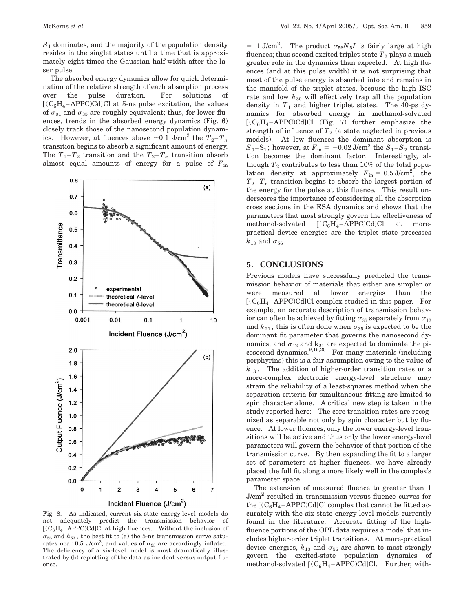*S*<sup>1</sup> dominates, and the majority of the population density resides in the singlet states until a time that is approximately eight times the Gaussian half-width after the laser pulse.

The absorbed energy dynamics allow for quick determination of the relative strength of each absorption process over the pulse duration. For solutions of  $[(C_6H_4 - APPC)Cd]Cl$  at 5-ns pulse excitation, the values of  $\sigma_{01}$  and  $\sigma_{35}$  are roughly equivalent; thus, for lower fluences, trends in the absorbed energy dynamics (Fig. 6) closely track those of the nanosecond population dynamics. However, at fluences above  $\sim 0.1$  J/cm<sup>2</sup> the  $T_2 - T_n$ transition begins to absorb a significant amount of energy. The  $T_1 - T_2$  transition and the  $T_2 - T_n$  transition absorb almost equal amounts of energy for a pulse of  $F_{in}$ 



Fig. 8. As indicated, current six-state energy-level models do not adequately predict the transmission behavior of  $[(C_6H_4 - APPC)Cd]Cl$  at high fluences. Without the inclusion of  $\sigma_{56}$  and  $k_{53}$ , the best fit to (a) the 5-ns transmission curve saturates near 0.5 J/cm<sup>2</sup>, and values of  $\sigma_{35}$  are accordingly inflated. The deficiency of a six-level model is most dramatically illustrated by (b) replotting of the data as incident versus output fluence.

 $= 1$  J/cm<sup>2</sup>. The product  $\sigma_{56}N_5I$  is fairly large at high fluences; thus second excited triplet state  $T_2$  plays a much greater role in the dynamics than expected. At high fluences (and at this pulse width) it is not surprising that most of the pulse energy is absorbed into and remains in the manifold of the triplet states, because the high ISC rate and low  $k_{30}$  will effectively trap all the population density in  $T_1$  and higher triplet states. The 40-ps dynamics for absorbed energy in methanol-solvated  $[(C_6H_4 - APPC)Cd]Cl$  (Fig. 7) further emphasize the strength of influence of  $T_2$  (a state neglected in previous models). At low fluences the dominant absorption is  $S_0$ -S<sub>1</sub>; however, at  $F_{\text{in}}$  = ~0.02 J/cm<sup>2</sup> the  $S_1$ -S<sub>2</sub> transition becomes the dominant factor. Interestingly, although  $T_2$  contributes to less than 10% of the total population density at approximately  $F_{\text{in}} = 0.5 \text{ J/cm}^2$ , the  $T_2 - T_n$  transition begins to absorb the largest portion of the energy for the pulse at this fluence. This result underscores the importance of considering all the absorption cross sections in the ESA dynamics and shows that the parameters that most strongly govern the effectiveness of methanol-solvated  $[(C_6H_4 - APPC)Cd]Cl$  at morepractical device energies are the triplet state processes  $k_{13}$  and  $\sigma_{56}$ .

## **5. CONCLUSIONS**

Previous models have successfully predicted the transmission behavior of materials that either are simpler or were measured at lower energies than the  $[(C_6H_4 - APPC)Cd]Cl$  complex studied in this paper. For example, an accurate description of transmission behavior can often be achieved by fitting  $\sigma_{35}$  separately from  $\sigma_{12}$ and  $k_{21}$ ; this is often done when  $\sigma_{35}$  is expected to be the dominant fit parameter that governs the nanosecond dynamics, and  $\sigma_{12}$  and  $k_{21}$  are expected to dominate the picosecond dynamics. $9,19,20$  For many materials (including porphyrins) this is a fair assumption owing to the value of  $k_{13}$ . The addition of higher-order transition rates or a more-complex electronic energy-level structure may strain the reliability of a least-squares method when the separation criteria for simultaneous fitting are limited to spin character alone. A critical new step is taken in the study reported here: The core transition rates are recognized as separable not only by spin character but by fluence. At lower fluences, only the lower energy-level transitions will be active and thus only the lower energy-level parameters will govern the behavior of that portion of the transmission curve. By then expanding the fit to a larger set of parameters at higher fluences, we have already placed the full fit along a more likely well in the complex's parameter space.

The extension of measured fluence to greater than 1 J/cm2 resulted in transmission-versus-fluence curves for the  $[(C_6H_4 - APPC)Cd]Cl$  complex that cannot be fitted accurately with the six-state energy-level models currently found in the literature. Accurate fitting of the highfluence portions of the OPL data requires a model that includes higher-order triplet transitions. At more-practical device energies,  $k_{13}$  and  $\sigma_{56}$  are shown to most strongly govern the excited-state population dynamics of methanol-solvated  $[(C_6H_4 - APPC)Cd]Cl$ . Further, with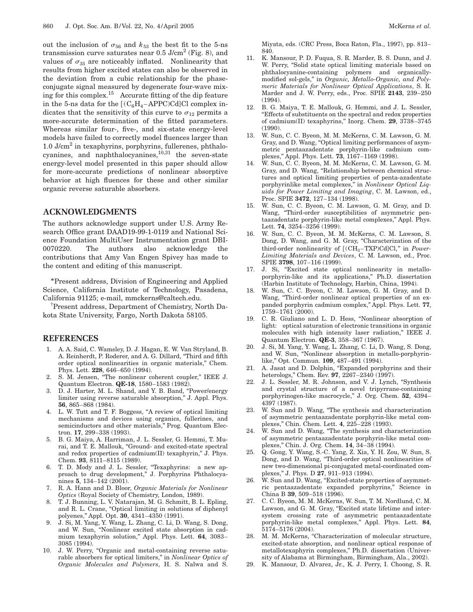out the inclusion of  $\sigma_{56}$  and  $k_{53}$  the best fit to the 5-ns transmission curve saturates near  $0.5$  J/cm<sup>2</sup> (Fig. 8), and values of  $\sigma_{35}$  are noticeably inflated. Nonlinearity that results from higher excited states can also be observed in the deviation from a cubic relationship for the phaseconjugate signal measured by degenerate four-wave mixing for this complex.<sup>15</sup> Accurate fitting of the dip feature in the 5-ns data for the  $[(C_6H_4 - APPC)Cd]Cl$  complex indicates that the sensitivity of this curve to  $\sigma_{12}$  permits a more-accurate determination of the fitted parameters. Whereas similar four-, five-, and six-state energy-level models have failed to correctly model fluences larger than  $1.0$  J/cm<sup>2</sup> in texaphyrins, porphyrins, fullerenes, phthalocyanines, and naphthalocyanines, $10,31$  the seven-state energy-level model presented in this paper should allow for more-accurate predictions of nonlinear absorptive behavior at high fluences for these and other similar organic reverse saturable absorbers.

# **ACKNOWLEDGMENTS**

The authors acknowledge support under U.S. Army Research Office grant DAAD19-99-1-0119 and National Science Foundation MultiUser Instrumentation grant DBI-0070220. The authors also acknowledge the contributions that Amy Van Engen Spivey has made to the content and editing of this manuscript.

\*Present address, Division of Engineering and Applied Science, California Institute of Technology, Pasadena, California 91125; e-mail, mmckerns@caltech.edu.

† Present address, Department of Chemistry, North Dakota State University, Fargo, North Dakota 58105.

#### **REFERENCES**

- 1. A. A. Said, C. Wamsley, D. J. Hagan, E. W. Van Stryland, B. A. Reinherdt, P. Roderer, and A. G. Dillard, ''Third and fifth order optical nonlinearities in organic materials,'' Chem. Phys. Lett. **228**, 646–650 (1994).
- 2. S. M. Jensen, ''The nonlinear coherent coupler,'' IEEE J. Quantum Electron. **QE-18**, 1580–1583 (1982).
- 3. D. J. Harter, M. L. Shand, and Y. B. Band, "Power/energy limiter using reverse saturable absorption,'' J. Appl. Phys. **56**, 865–868 (1984).
- 4. L. W. Tutt and T. F. Boggess, ''A review of optical limiting mechanisms and devices using organics, fullerines, and semicinductors and other materials," Prog. Quantum Electron. **17**, 299–338 (1993).
- 5. B. G. Maiya, A. Harriman, J. L. Sessler, G. Hemmi, T. Murai, and T. E. Mallouk, ''Ground- and excited-state spectral and redox properties of cadmium(II) texaphyrin,'' J. Phys. Chem. **93**, 8111–8115 (1989).
- 6. T. D. Mody and J. L. Sessler, ''Texaphyrins: a new approach to drug development,'' J. Porphyrins Phthalocyanines **5**, 134–142 (2001).
- 7. R. A. Hann and D. Bloor, *Organic Materials for Nonlinear Optics* (Royal Society of Chemistry, London, 1989).
- 8. T. J. Bunning, L. V. Natarajan, M. G. Schmitt, B. L. Epling, and R. L. Crane, "Optical limiting in solutions of diphenyl polyenes,'' Appl. Opt. **30**, 4341–4350 (1991).
- 9. J. Si, M. Yang, Y. Wang, L. Zhang, C. Li, D. Wang, S. Dong, and W. Sun, ''Nonlinear excited state absorption in cadmium texaphyrin solution,'' Appl. Phys. Lett. **64**, 3083– 3085 (1994).
- 10. J. W. Perry, "Organic and metal-containing reverse saturable absorbers for optical limiters,'' in *Nonlinear Optics of Organic Molecules and Polymers*, H. S. Nalwa and S.

Miyata, eds. (CRC Press, Boca Raton, Fla., 1997), pp. 813– 840.

- 11. K. Mansour, P. D. Fuqua, S. R. Marder, B. S. Dunn, and J. W. Perry, "Solid state optical limiting materials based on phthalocyanine-containing polymers and organicallymodified sol-gels,'' in *Organic, Metallo-Organic, and Polymeric Materials for Nonlinear Optical Applications*, S. R. Marder and J. W. Perry, eds., Proc. SPIE **2143**, 239–250 (1994).
- 12. B. G. Maiya, T. E. Mallouk, G. Hemmi, and J. L. Sessler, ''Effects of substituents on the spectral and redox properties of cadmium(II) texaphyrins,'' Inorg. Chem. **29**, 3738–3745 (1990).
- 13. W. Sun, C. C. Byeon, M. M. McKerns, C. M. Lawson, G. M. Gray, and D. Wang, "Optical limiting performances of asymmetric pentaazadentate porphyrin-like cadmium complexes,'' Appl. Phys. Lett. **73**, 1167–1169 (1998).
- 14. W. Sun, C. C. Byeon, M. M. McKerns, C. M. Lawson, G. M. Gray, and D. Wang, ''Relationship between chemical structures and optical limiting properties of penta-azadentate porphyrinlike metal complexes,'' in *Nonlinear Optical Liquids for Power Limiting and Imaging*, C. M. Lawson, ed., Proc. SPIE **3472**, 127–134 (1998).
- 15. W. Sun, C. C. Byeon, C. M. Lawson, G. M. Gray, and D. Wang, ''Third-order susceptibilities of asymmetric pentaazadentate porphyrin-like metal complexes,'' Appl. Phys. Lett. **74**, 3254–3256 (1999).
- 16. W. Sun, C. C. Byeon, M. M. McKerns, C. M. Lawson, S. Dong, D. Wang, and G. M. Gray, "Characterization of the third-order nonlinearity of  $[(CH_3-TXP)Cd]Cl,''$  in *Power-Limiting Materials and Devices*, C. M. Lawson, ed., Proc. SPIE **3798**, 107–116 (1999).
- 17. J. Si, "Excited state optical nonlinearity in metalloporphyrin-like and its applications,'' Ph.D. dissertation (Harbin Institute of Technology, Harbin, China, 1994).
- 18. W. Sun, C. C. Byeon, C. M. Lawson, G. M. Gray, and D. Wang, "Third-order nonlinear optical properties of an expanded porphyrin cadmium complex,'' Appl. Phys. Lett. **77**, 1759–1761 (2000).
- 19. C. R. Giuliano and L. D. Hess, ''Nonlinear absorption of light: optical saturation of electronic transitions in organic molecules with high intensity laser radiation,'' IEEE J. Quantum Electron. **QE-3**, 358–367 (1967).
- 20. J. Si, M. Yang, Y. Wang, L. Zhang, C. Li, D. Wang, S. Dong, and W. Sun, ''Nonlinear absorption in metallo-porphyrinlike,'' Opt. Commun. **109**, 487–491 (1994).
- 21. A. Jasat and D. Dolphin, "Expanded porphyrins and their heterologs,'' Chem. Rev. **97**, 2267–2340 (1997).
- 22. J. L. Sessler, M. R. Johnson, and V. J. Lynch, ''Synthesis and crystal structure of a novel tripyrrane-containing porphyrinogen-like macrocycle,'' J. Org. Chem. **52**, 4394– 4397 (1987).
- 23. W. Sun and D. Wang, ''The synthesis and characterization of asymmetric pentaazadentate porphyrin-like metal complexes,'' Chin. Chem. Lett. **4**, 225–228 (1993).
- 24. W. Sun and D. Wang, "The synthesis and characterization of asymmetric pentaazadentate porphyrin-like metal complexes,'' Chin. J. Org. Chem. **14**, 34–38 (1994).
- 25. Q. Gong, Y. Wang, S.-C. Yang, Z. Xia, Y. H. Zou, W. Sun, S. Dong, and D. Wang, ''Third-order optical nonlinearities of new two-dimensional pi-conjugated metal-coordinated complexes,'' J. Phys. D **27**, 911–913 (1994).
- 26. W. Sun and D. Wang, "Excited-state properties of asymmetric pentaazadentate expanded porphyrins,'' Science in China B **39**, 509–518 (1996).
- 27. C. C. Byeon, M. M. McKerns, W. Sun, T. M. Nordlund, C. M. Lawson, and G. M. Gray, "Excited state lifetime and intersystem crossing rate of asymmetric pentaazadentate porphyrin-like metal complexes,'' Appl. Phys. Lett. **84**, 5174–5176 (2004).
- 28. M. M. McKerns, "Characterization of molecular structure, excited-state absorption, and nonlinear optical response of metallotexaphyrin complexes,'' Ph.D. dissertation (University of Alabama at Birmingham, Birmingham, Ala., 2002).
- 29. K. Mansour, D. Alvarez, Jr., K. J. Perry, I. Choong, S. R.